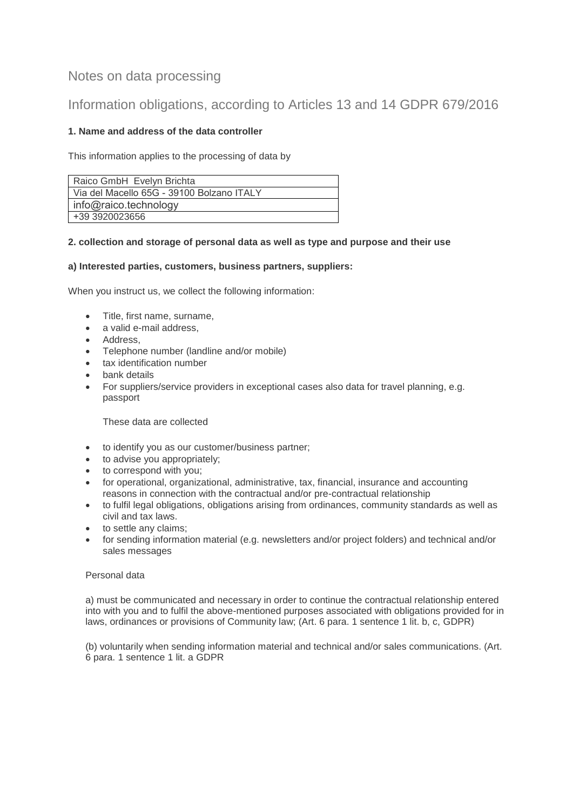# Notes on data processing

# Information obligations, according to Articles 13 and 14 GDPR 679/2016

## **1. Name and address of the data controller**

This information applies to the processing of data by

| Raico GmbH Evelyn Brichta                 |
|-------------------------------------------|
| Via del Macello 65G - 39100 Bolzano ITALY |
| info@raico.technology                     |
| +39 3920023656                            |

## **2. collection and storage of personal data as well as type and purpose and their use**

## **a) Interested parties, customers, business partners, suppliers:**

When you instruct us, we collect the following information:

- Title, first name, surname,
- a valid e-mail address.
- Address.
- Telephone number (landline and/or mobile)
- tax identification number
- **•** bank details
- For suppliers/service providers in exceptional cases also data for travel planning, e.g. passport

These data are collected

- to identify you as our customer/business partner;
- to advise you appropriately;
- to correspond with you;
- for operational, organizational, administrative, tax, financial, insurance and accounting reasons in connection with the contractual and/or pre-contractual relationship
- to fulfil legal obligations, obligations arising from ordinances, community standards as well as civil and tax laws.
- to settle any claims;
- for sending information material (e.g. newsletters and/or project folders) and technical and/or sales messages

## Personal data

a) must be communicated and necessary in order to continue the contractual relationship entered into with you and to fulfil the above-mentioned purposes associated with obligations provided for in laws, ordinances or provisions of Community law; (Art. 6 para. 1 sentence 1 lit. b, c, GDPR)

(b) voluntarily when sending information material and technical and/or sales communications. (Art. 6 para. 1 sentence 1 lit. a GDPR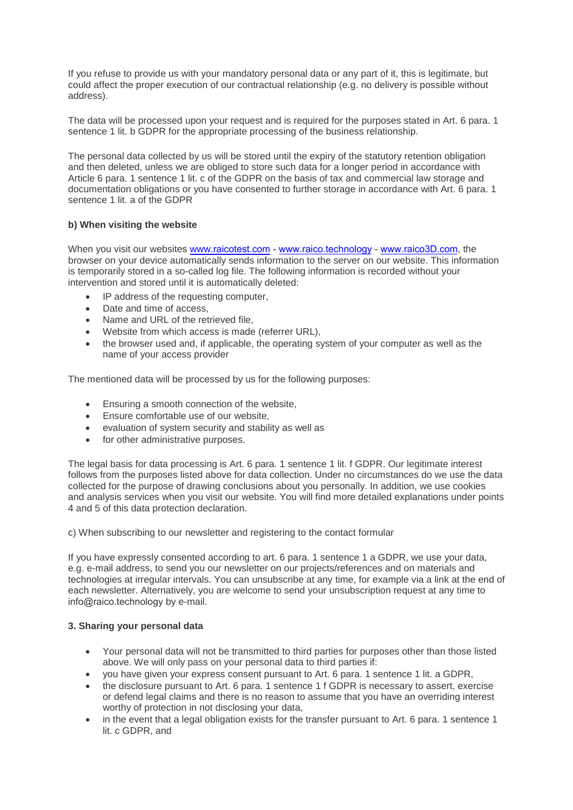If you refuse to provide us with your mandatory personal data or any part of it, this is legitimate, but could affect the proper execution of our contractual relationship (e.g. no delivery is possible without address).

The data will be processed upon your request and is required for the purposes stated in Art. 6 para. 1 sentence 1 lit. b GDPR for the appropriate processing of the business relationship.

The personal data collected by us will be stored until the expiry of the statutory retention obligation and then deleted, unless we are obliged to store such data for a longer period in accordance with Article 6 para. 1 sentence 1 lit. c of the GDPR on the basis of tax and commercial law storage and documentation obligations or you have consented to further storage in accordance with Art. 6 para. 1 sentence 1 lit. a of the GDPR

#### **b) When visiting the website**

When you visit our websites www.raicotest.com - www.raico.technology - www.raico3D.com, the browser on your device automatically sends information to the server on our website. This information is temporarily stored in a so-called log file. The following information is recorded without your intervention and stored until it is automatically deleted:

- IP address of the requesting computer,
- Date and time of access,
- Name and URL of the retrieved file,
- Website from which access is made (referrer URL),
- the browser used and, if applicable, the operating system of your computer as well as the name of your access provider

The mentioned data will be processed by us for the following purposes:

- **Ensuring a smooth connection of the website,**
- Ensure comfortable use of our website,
- evaluation of system security and stability as well as
- for other administrative purposes.

The legal basis for data processing is Art. 6 para. 1 sentence 1 lit. f GDPR. Our legitimate interest follows from the purposes listed above for data collection. Under no circumstances do we use the data collected for the purpose of drawing conclusions about you personally. In addition, we use cookies and analysis services when you visit our website. You will find more detailed explanations under points 4 and 5 of this data protection declaration.

c) When subscribing to our newsletter and registering to the contact formular

If you have expressly consented according to art. 6 para. 1 sentence 1 a GDPR, we use your data, e.g. e-mail address, to send you our newsletter on our projects/references and on materials and technologies at irregular intervals. You can unsubscribe at any time, for example via a link at the end of each newsletter. Alternatively, you are welcome to send your unsubscription request at any time to info@raico.technology by e-mail.

#### **3. Sharing your personal data**

- Your personal data will not be transmitted to third parties for purposes other than those listed above. We will only pass on your personal data to third parties if:
- you have given your express consent pursuant to Art. 6 para. 1 sentence 1 lit. a GDPR,
- the disclosure pursuant to Art. 6 para. 1 sentence 1 f GDPR is necessary to assert, exercise or defend legal claims and there is no reason to assume that you have an overriding interest worthy of protection in not disclosing your data,
- in the event that a legal obligation exists for the transfer pursuant to Art. 6 para. 1 sentence 1 lit. c GDPR, and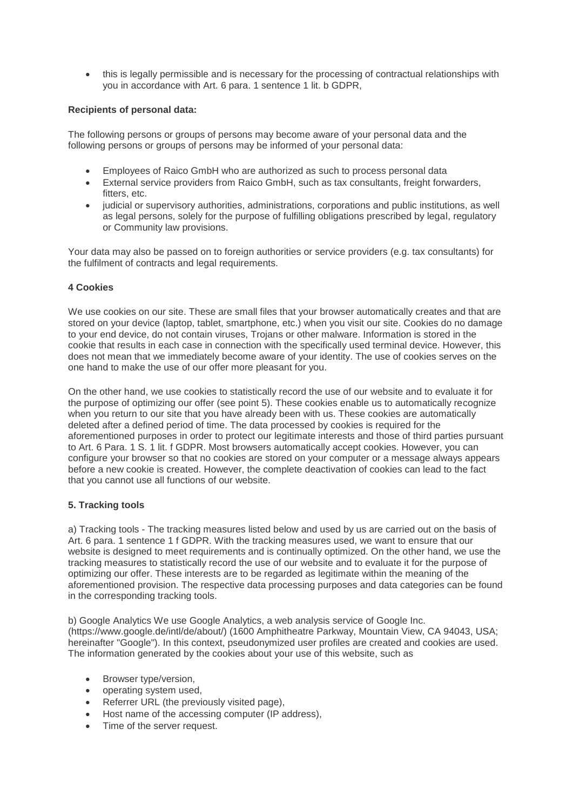• this is legally permissible and is necessary for the processing of contractual relationships with you in accordance with Art. 6 para. 1 sentence 1 lit. b GDPR,

### **Recipients of personal data:**

The following persons or groups of persons may become aware of your personal data and the following persons or groups of persons may be informed of your personal data:

- Employees of Raico GmbH who are authorized as such to process personal data
- External service providers from Raico GmbH, such as tax consultants, freight forwarders, fitters, etc.
- judicial or supervisory authorities, administrations, corporations and public institutions, as well as legal persons, solely for the purpose of fulfilling obligations prescribed by legal, regulatory or Community law provisions.

Your data may also be passed on to foreign authorities or service providers (e.g. tax consultants) for the fulfilment of contracts and legal requirements.

#### **4 Cookies**

We use cookies on our site. These are small files that your browser automatically creates and that are stored on your device (laptop, tablet, smartphone, etc.) when you visit our site. Cookies do no damage to your end device, do not contain viruses, Trojans or other malware. Information is stored in the cookie that results in each case in connection with the specifically used terminal device. However, this does not mean that we immediately become aware of your identity. The use of cookies serves on the one hand to make the use of our offer more pleasant for you.

On the other hand, we use cookies to statistically record the use of our website and to evaluate it for the purpose of optimizing our offer (see point 5). These cookies enable us to automatically recognize when you return to our site that you have already been with us. These cookies are automatically deleted after a defined period of time. The data processed by cookies is required for the aforementioned purposes in order to protect our legitimate interests and those of third parties pursuant to Art. 6 Para. 1 S. 1 lit. f GDPR. Most browsers automatically accept cookies. However, you can configure your browser so that no cookies are stored on your computer or a message always appears before a new cookie is created. However, the complete deactivation of cookies can lead to the fact that you cannot use all functions of our website.

#### **5. Tracking tools**

a) Tracking tools - The tracking measures listed below and used by us are carried out on the basis of Art. 6 para. 1 sentence 1 f GDPR. With the tracking measures used, we want to ensure that our website is designed to meet requirements and is continually optimized. On the other hand, we use the tracking measures to statistically record the use of our website and to evaluate it for the purpose of optimizing our offer. These interests are to be regarded as legitimate within the meaning of the aforementioned provision. The respective data processing purposes and data categories can be found in the corresponding tracking tools.

b) Google Analytics We use Google Analytics, a web analysis service of Google Inc. (https://www.google.de/intl/de/about/) (1600 Amphitheatre Parkway, Mountain View, CA 94043, USA; hereinafter "Google"). In this context, pseudonymized user profiles are created and cookies are used. The information generated by the cookies about your use of this website, such as

- Browser type/version,
- operating system used,
- Referrer URL (the previously visited page).
- Host name of the accessing computer (IP address),
- Time of the server request.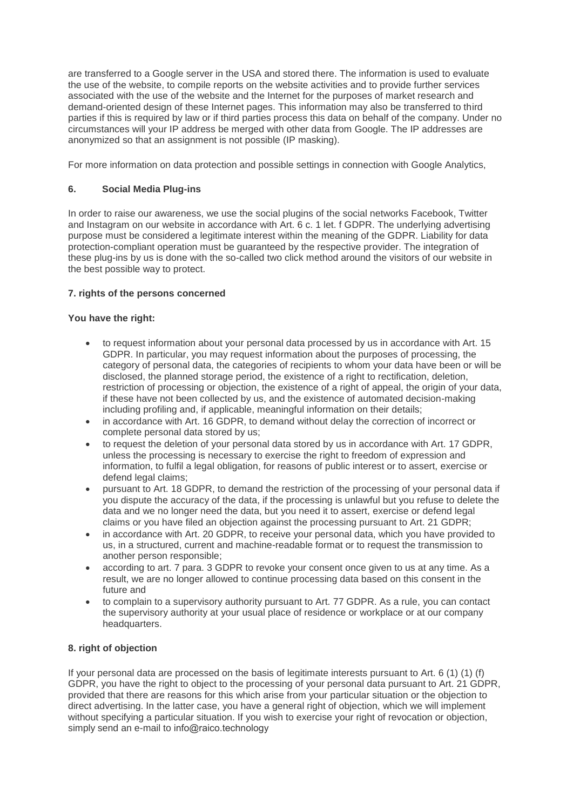are transferred to a Google server in the USA and stored there. The information is used to evaluate the use of the website, to compile reports on the website activities and to provide further services associated with the use of the website and the Internet for the purposes of market research and demand-oriented design of these Internet pages. This information may also be transferred to third parties if this is required by law or if third parties process this data on behalf of the company. Under no circumstances will your IP address be merged with other data from Google. The IP addresses are anonymized so that an assignment is not possible (IP masking).

For more information on data protection and possible settings in connection with Google Analytics,

## **6. Social Media Plug-ins**

In order to raise our awareness, we use the social plugins of the social networks Facebook, Twitter and Instagram on our website in accordance with Art. 6 c. 1 let. f GDPR. The underlying advertising purpose must be considered a legitimate interest within the meaning of the GDPR. Liability for data protection-compliant operation must be guaranteed by the respective provider. The integration of these plug-ins by us is done with the so-called two click method around the visitors of our website in the best possible way to protect.

## **7. rights of the persons concerned**

## **You have the right:**

- to request information about your personal data processed by us in accordance with Art. 15 GDPR. In particular, you may request information about the purposes of processing, the category of personal data, the categories of recipients to whom your data have been or will be disclosed, the planned storage period, the existence of a right to rectification, deletion, restriction of processing or objection, the existence of a right of appeal, the origin of your data, if these have not been collected by us, and the existence of automated decision-making including profiling and, if applicable, meaningful information on their details;
- in accordance with Art. 16 GDPR, to demand without delay the correction of incorrect or complete personal data stored by us;
- to request the deletion of your personal data stored by us in accordance with Art. 17 GDPR, unless the processing is necessary to exercise the right to freedom of expression and information, to fulfil a legal obligation, for reasons of public interest or to assert, exercise or defend legal claims;
- pursuant to Art. 18 GDPR, to demand the restriction of the processing of your personal data if you dispute the accuracy of the data, if the processing is unlawful but you refuse to delete the data and we no longer need the data, but you need it to assert, exercise or defend legal claims or you have filed an objection against the processing pursuant to Art. 21 GDPR;
- in accordance with Art. 20 GDPR, to receive your personal data, which you have provided to us, in a structured, current and machine-readable format or to request the transmission to another person responsible;
- according to art. 7 para. 3 GDPR to revoke your consent once given to us at any time. As a result, we are no longer allowed to continue processing data based on this consent in the future and
- to complain to a supervisory authority pursuant to Art. 77 GDPR. As a rule, you can contact the supervisory authority at your usual place of residence or workplace or at our company headquarters.

## **8. right of objection**

If your personal data are processed on the basis of legitimate interests pursuant to Art. 6 (1) (1) (f) GDPR, you have the right to object to the processing of your personal data pursuant to Art. 21 GDPR, provided that there are reasons for this which arise from your particular situation or the objection to direct advertising. In the latter case, you have a general right of objection, which we will implement without specifying a particular situation. If you wish to exercise your right of revocation or objection, simply send an e-mail to info@raico.technology